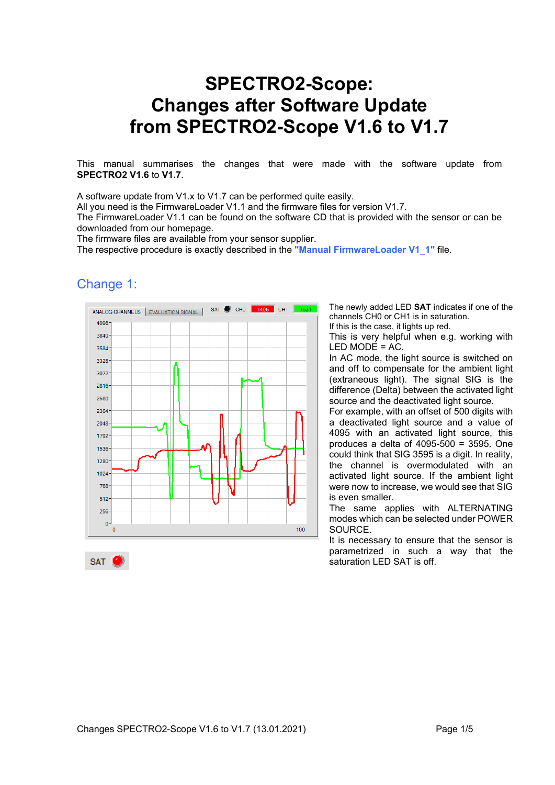# **SPECTRO2-Scope: Changes after Software Update from SPECTRO2-Scope V1.6 to V1.7**

This manual summarises the changes that were made with the software update from **SPECTRO2 V1.6** to **V1.7**.

A software update from V1.x to V1.7 can be performed quite easily.

All you need is the FirmwareLoader V1.1 and the firmware files for version V1.7.

The FirmwareLoader V1.1 can be found on the software CD that is provided with the sensor or can be downloaded from our homepage.

The firmware files are available from your sensor supplier.

The respective procedure is exactly described in the **"Manual FirmwareLoader V1\_1"** file.

### Change 1:

SAT J



The newly added LED **SAT** indicates if one of the channels CH0 or CH1 is in saturation.

If this is the case, it lights up red.

This is very helpful when e.g. working with LED MODE = AC.

In AC mode, the light source is switched on and off to compensate for the ambient light (extraneous light). The signal SIG is the difference (Delta) between the activated light source and the deactivated light source.

For example, with an offset of 500 digits with a deactivated light source and a value of 4095 with an activated light source, this produces a delta of 4095-500 = 3595. One could think that SIG 3595 is a digit. In reality, the channel is overmodulated with an activated light source. If the ambient light were now to increase, we would see that SIG is even smaller.

The same applies with ALTERNATING modes which can be selected under POWER **SOURCE** 

It is necessary to ensure that the sensor is parametrized in such a way that the saturation LED SAT is off.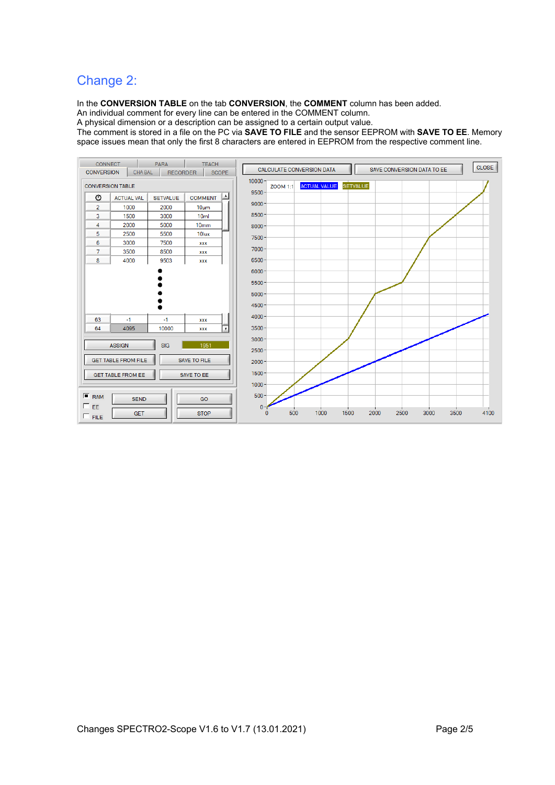### Change 2:

In the **CONVERSION TABLE** on the tab **CONVERSION**, the **COMMENT** column has been added.

An individual comment for every line can be entered in the COMMENT column.

A physical dimension or a description can be assigned to a certain output value.

The comment is stored in a file on the PC via **SAVE TO FILE** and the sensor EEPROM with **SAVE TO EE**. Memory space issues mean that only the first 8 characters are entered in EEPROM from the respective comment line.

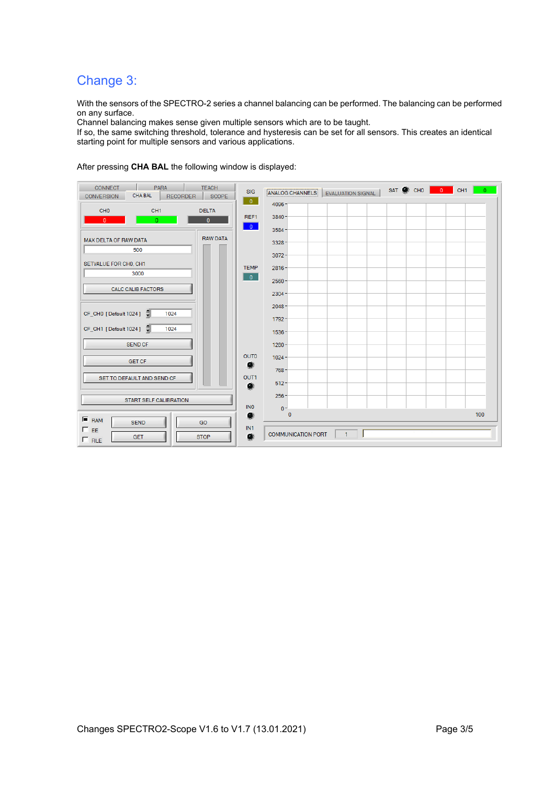## Change 3:

With the sensors of the SPECTRO-2 series a channel balancing can be performed. The balancing can be performed on any surface.

Channel balancing makes sense given multiple sensors which are to be taught.

If so, the same switching threshold, tolerance and hysteresis can be set for all sensors. This creates an identical starting point for multiple sensors and various applications.

After pressing **CHA BAL** the following window is displayed:

| <b>PARA</b><br><b>CONNECT</b><br><b>TEACH</b><br><b>CHA BAL</b><br><b>RECORDER</b><br><b>SCOPE</b><br><b>CONVERSION</b> | <b>SIG</b><br>$\overline{\phantom{a}}$ | SAT CHO<br>$\overline{0}$<br>CH <sub>1</sub><br>ANALOG CHANNELS   EVALUATION SIGNAL | $\Omega$ |
|-------------------------------------------------------------------------------------------------------------------------|----------------------------------------|-------------------------------------------------------------------------------------|----------|
| CH <sub>0</sub><br><b>DELTA</b><br>CH <sub>1</sub>                                                                      | REF1                                   | 4096<br>3840-                                                                       |          |
| $\mathbf{0}$<br>$\overline{0}$<br>$\mathbf{0}$                                                                          | $\overline{0}$                         | 3584                                                                                |          |
| <b>RAW DATA</b><br><b>MAX DELTA OF RAW DATA</b>                                                                         |                                        | $3328 -$                                                                            |          |
| 500                                                                                                                     |                                        | 3072                                                                                |          |
| SETVALUE FOR CHO, CH1<br>3000                                                                                           | <b>TEMP</b><br>$\overline{\mathbf{0}}$ | $2816 -$                                                                            |          |
| <b>CALC CALIB FACTORS</b>                                                                                               |                                        | $2560 -$<br>$2304 -$                                                                |          |
|                                                                                                                         |                                        | $2048 -$                                                                            |          |
| CF_CH0 [Default 1024]<br>1024                                                                                           |                                        | $1792 -$                                                                            |          |
| CF_CH1 [Default 1024] (<br>1024                                                                                         |                                        | $1536 -$                                                                            |          |
| <b>SEND CF</b>                                                                                                          |                                        | $1280 -$                                                                            |          |
| <b>GET CF</b>                                                                                                           | OUT <sub>0</sub><br>۰                  | $1024 -$<br>$768 -$                                                                 |          |
| SET TO DEFAULT AND SEND CF                                                                                              | OUT1<br>۰                              | $512 -$                                                                             |          |
| START SELF CALIBRATION                                                                                                  |                                        | $256 -$                                                                             |          |
|                                                                                                                         | IN <sub>0</sub><br>۰                   | $0 -$<br>$\mathbf{0}$                                                               | 100      |
| $F$ RAM<br><b>SEND</b><br>GO<br>$\Box$ EE<br><b>STOP</b><br><b>GET</b><br>$\Box$ FILE                                   | IN1<br>۰                               | $\mathbf{1}$<br><b>COMMUNICATION PORT</b>                                           |          |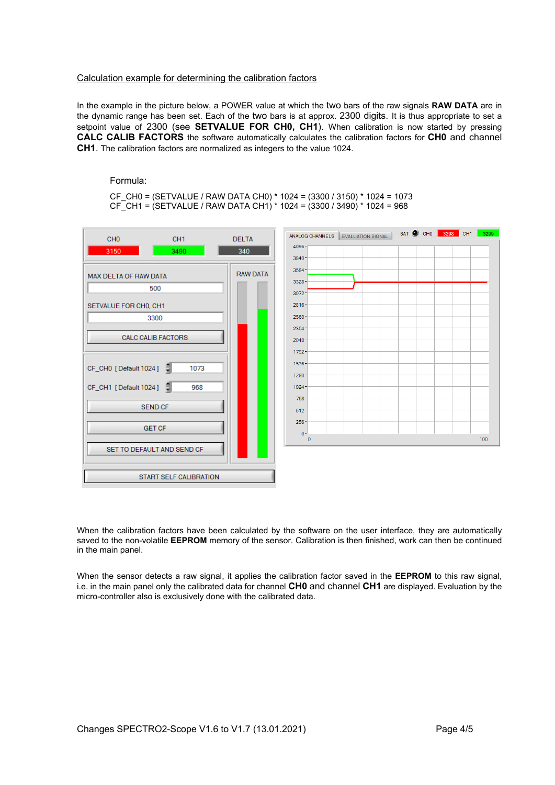#### Calculation example for determining the calibration factors

In the example in the picture below, a POWER value at which the two bars of the raw signals **RAW DATA** are in the dynamic range has been set. Each of the two bars is at approx. 2300 digits. It is thus appropriate to set a setpoint value of 2300 (see **SETVALUE FOR CH0, CH1**). When calibration is now started by pressing **CALC CALIB FACTORS** the software automatically calculates the calibration factors for **CH0** and channel **CH1**. The calibration factors are normalized as integers to the value 1024.

Formula:

CF\_CH0 = (SETVALUE / RAW DATA CH0) \* 1024 = (3300 / 3150) \* 1024 = 1073 CF\_CH1 = (SETVALUE / RAW DATA CH1) \* 1024 = (3300 / 3490) \* 1024 = 968



When the calibration factors have been calculated by the software on the user interface, they are automatically saved to the non-volatile **EEPROM** memory of the sensor. Calibration is then finished, work can then be continued in the main panel.

When the sensor detects a raw signal, it applies the calibration factor saved in the **EEPROM** to this raw signal, i.e. in the main panel only the calibrated data for channel **CH0** and channel **CH1** are displayed. Evaluation by the micro-controller also is exclusively done with the calibrated data.